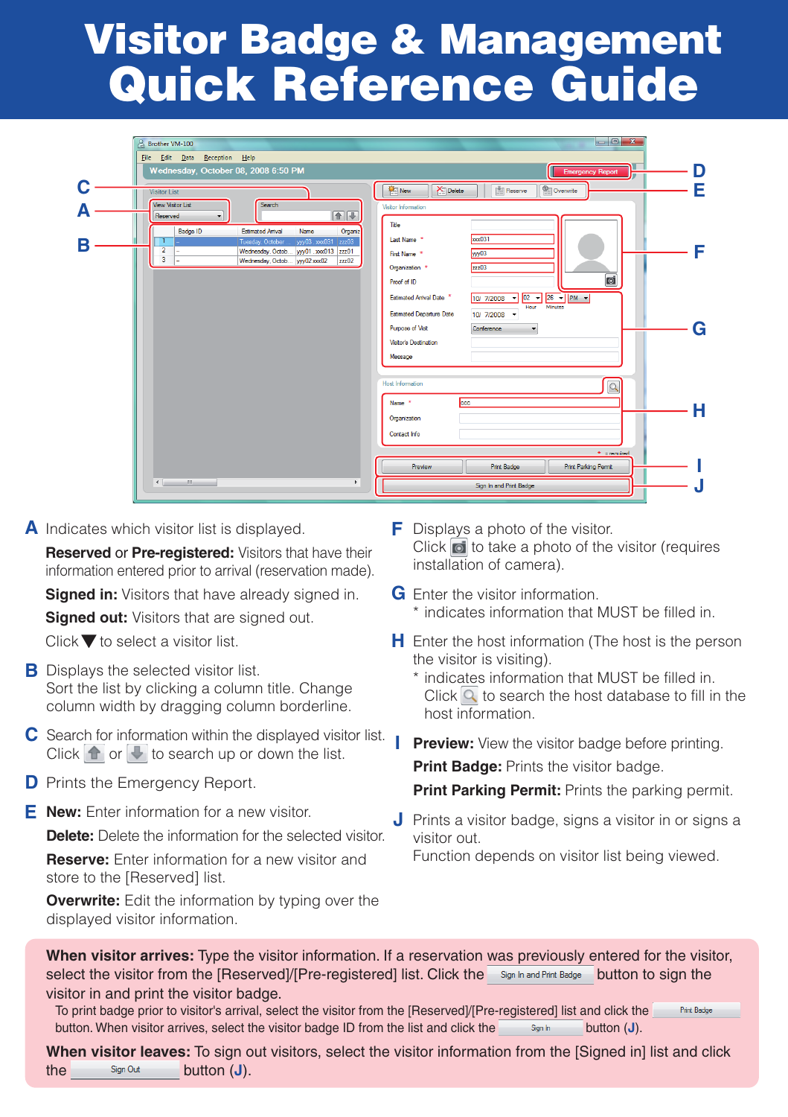# **Visitor Badge & Management Quick Reference Guide**

|   | <b>Brother VM-100</b><br>File Edit Data Reception Help                                                                                                                    | $\Box$ e x                                                                                                |   |
|---|---------------------------------------------------------------------------------------------------------------------------------------------------------------------------|-----------------------------------------------------------------------------------------------------------|---|
|   | Wednesday, October 08, 2008 6:50 PM                                                                                                                                       | <b>Emergency Report</b><br>ь                                                                              | D |
|   | <b>Visitor List</b><br><b>View Visitor List</b><br>Search                                                                                                                 | New<br>Xil Delete<br>Overwrite<br>Reserve<br>Visitor Information                                          | Е |
|   | $\left( \frac{1}{2} \right)$<br>Reserved<br>۰<br>Badge ID<br><b>Estimated Anival</b><br>Organiz<br>Name                                                                   | Title                                                                                                     |   |
| R | yyy03.xxx031 zzz03<br>÷<br>Tuesday, October<br>$\overline{2}$<br>yyy01,xxx013 zzz01<br>Wednesday, Octob<br>$\overline{\mathbf{3}}$<br>Wednesday, Octob ww02xxx02<br>zzz02 | <b>kook031</b><br>Last Name *<br>yyy03<br>First Name *<br>zzz03<br>Organization *                         | F |
|   |                                                                                                                                                                           | d<br>Proof of ID<br>10/ 7/2008 - 02 - 26   PM -<br>Estimated Arrival Date *                               |   |
|   |                                                                                                                                                                           | <b>Minutes</b><br>Hour<br>Estimated Departure Date<br>10/ 7/2008 -<br>Purpose of Visit<br>Conference<br>٠ | G |
|   |                                                                                                                                                                           | Visitor's Destination<br>Message                                                                          |   |
|   |                                                                                                                                                                           | <b>Host Information</b><br>Q                                                                              |   |
|   |                                                                                                                                                                           | coc<br>Name *<br>Organization                                                                             | н |
|   |                                                                                                                                                                           | Contact Info<br>* = required                                                                              |   |
|   |                                                                                                                                                                           | <b>Print Parking Permt</b><br>Preview<br>Print Badge                                                      |   |
|   | m.<br>$\leftarrow$<br>P.                                                                                                                                                  | Sign In and Print Badge                                                                                   |   |

A Indicates which visitor list is displayed.

**Reserved** or **Pre-registered:** Visitors that have their information entered prior to arrival (reservation made).

**Signed in:** Visitors that have already signed in.

**Signed out:** Visitors that are signed out.

Click  $\blacktriangledown$  to select a visitor list.

- **B** Displays the selected visitor list. Sort the list by clicking a column title. Change column width by dragging column borderline.
- C Search for information within the displayed visitor list. Click  $\frown$  or  $\lnot$  to search up or down the list.
- **D** Prints the Emergency Report.
- **E J New:** Enter information for a new visitor.

**Delete:** Delete the information for the selected visitor.

**Reserve:** Enter information for a new visitor and store to the [Reserved] list.

**Overwrite:** Edit the information by typing over the displayed visitor information.

- **F** Displays a photo of the visitor. Click of to take a photo of the visitor (requires installation of camera).
- **G** Enter the visitor information. \* indicates information that MUST be filled in.
- **H** Enter the host information (The host is the person the visitor is visiting).
	- \* indicates information that MUST be filled in. Click  $\boxed{Q}$  to search the host database to fill in the host information.
- **I Preview:** View the visitor badge before printing.

**Print Badge:** Prints the visitor badge.

- **Print Parking Permit:** Prints the parking permit.
- **J** Prints a visitor badge, signs a visitor in or signs a visitor out.

Function depends on visitor list being viewed.

**When visitor arrives:** Type the visitor information. If a reservation was previously entered for the visitor, select the visitor from the [Reserved]/[Pre-registered] list. Click the Sign In and Pirit Badge button to sign the visitor in and print the visitor badge.

To print badge prior to visitor's arrival, select the visitor from the [Reserved]/[Pre-registered] list and click the **Print Badge** button. When visitor arrives, select the visitor badge ID from the list and click the s<sub>sn h</sub> button (**J**).

**When visitor leaves:** To sign out visitors, select the visitor information from the [Signed in] list and click the sign Out **button (J)**.